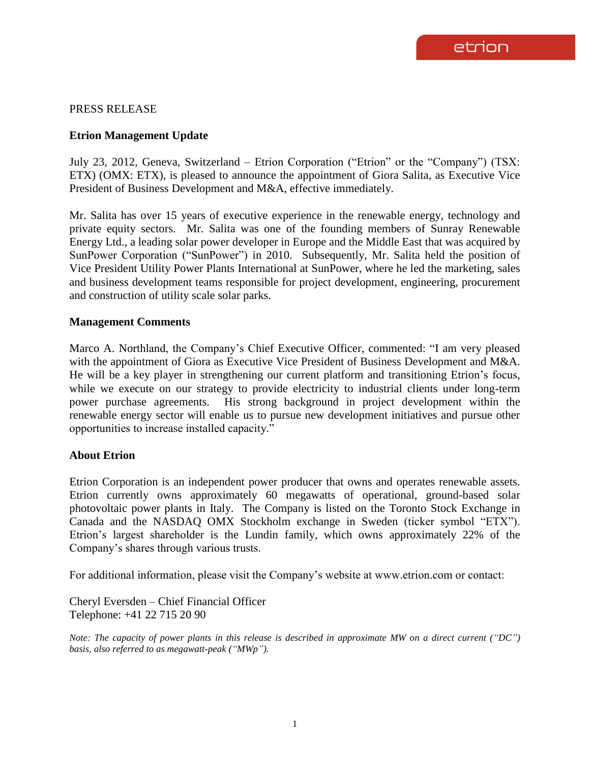# PRESS RELEASE

## **Etrion Management Update**

July 23, 2012, Geneva, Switzerland – Etrion Corporation ("Etrion" or the "Company") (TSX: ETX) (OMX: ETX), is pleased to announce the appointment of Giora Salita, as Executive Vice President of Business Development and M&A, effective immediately.

Mr. Salita has over 15 years of executive experience in the renewable energy, technology and private equity sectors. Mr. Salita was one of the founding members of Sunray Renewable Energy Ltd., a leading solar power developer in Europe and the Middle East that was acquired by SunPower Corporation ("SunPower") in 2010. Subsequently, Mr. Salita held the position of Vice President Utility Power Plants International at SunPower, where he led the marketing, sales and business development teams responsible for project development, engineering, procurement and construction of utility scale solar parks.

### **Management Comments**

Marco A. Northland, the Company's Chief Executive Officer, commented: "I am very pleased with the appointment of Giora as Executive Vice President of Business Development and M&A. He will be a key player in strengthening our current platform and transitioning Etrion's focus, while we execute on our strategy to provide electricity to industrial clients under long-term power purchase agreements. His strong background in project development within the renewable energy sector will enable us to pursue new development initiatives and pursue other opportunities to increase installed capacity."

### **About Etrion**

Etrion Corporation is an independent power producer that owns and operates renewable assets. Etrion currently owns approximately 60 megawatts of operational, ground-based solar photovoltaic power plants in Italy. The Company is listed on the Toronto Stock Exchange in Canada and the NASDAQ OMX Stockholm exchange in Sweden (ticker symbol "ETX"). Etrion's largest shareholder is the Lundin family, which owns approximately 22% of the Company's shares through various trusts.

For additional information, please visit the Company's website at www.etrion.com or contact:

Cheryl Eversden – Chief Financial Officer Telephone: +41 22 715 20 90

*Note: The capacity of power plants in this release is described in approximate MW on a direct current ("DC") basis, also referred to as megawatt-peak ("MWp").*